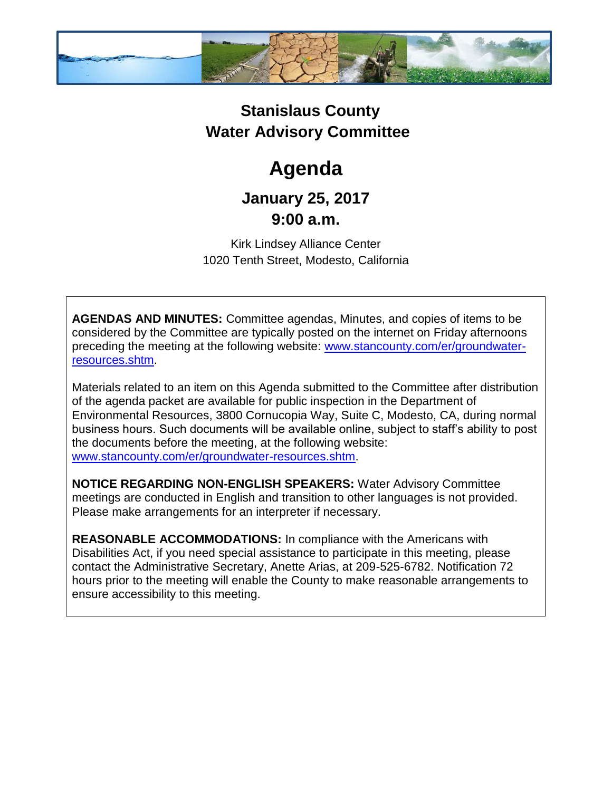

## **Stanislaus County Water Advisory Committee**

# **Agenda**

### **January 25, 2017 9:00 a.m.**

Kirk Lindsey Alliance Center 1020 Tenth Street, Modesto, California

**AGENDAS AND MINUTES:** Committee agendas, Minutes, and copies of items to be considered by the Committee are typically posted on the internet on Friday afternoons preceding the meeting at the following website: [www.stancounty.com/er/groundwater](http://www.stancounty.com/er/groundwater-resources.shtm)[resources.shtm.](http://www.stancounty.com/er/groundwater-resources.shtm)

Materials related to an item on this Agenda submitted to the Committee after distribution of the agenda packet are available for public inspection in the Department of Environmental Resources, 3800 Cornucopia Way, Suite C, Modesto, CA, during normal business hours. Such documents will be available online, subject to staff's ability to post the documents before the meeting, at the following website: [www.stancounty.com/er/groundwater-resources.shtm.](http://www.stancounty.com/er/groundwater-resources.shtm)

**NOTICE REGARDING NON-ENGLISH SPEAKERS:** Water Advisory Committee meetings are conducted in English and transition to other languages is not provided. Please make arrangements for an interpreter if necessary.

**REASONABLE ACCOMMODATIONS:** In compliance with the Americans with Disabilities Act, if you need special assistance to participate in this meeting, please contact the Administrative Secretary, Anette Arias, at 209-525-6782. Notification 72 hours prior to the meeting will enable the County to make reasonable arrangements to ensure accessibility to this meeting.